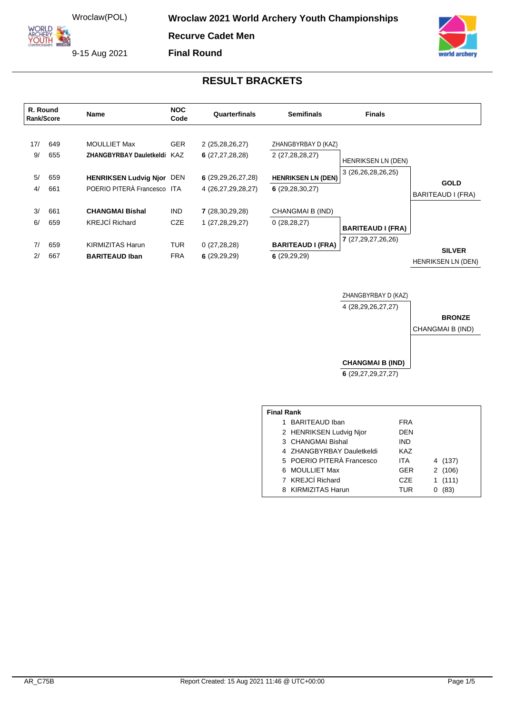**ORLD** ARCHERY<br>YOUTH **Wroclaw 2021 World Archery Youth Championships** 

**Recurve Cadet Men**

9-15 Aug 2021

**Final Round**



## **RESULT BRACKETS**

| R. Round<br>Rank/Score |                   | <b>Name</b>                                                                        | <b>NOC</b><br>Code       | Quarterfinals<br><b>Semifinals</b>                            |                                                                     | <b>Finals</b>                                   |                                            |
|------------------------|-------------------|------------------------------------------------------------------------------------|--------------------------|---------------------------------------------------------------|---------------------------------------------------------------------|-------------------------------------------------|--------------------------------------------|
| 17/<br>9/<br>5/        | 649<br>655<br>659 | <b>MOULLIET Max</b><br>ZHANGBYRBAY Dauletkeldi<br><b>HENRIKSEN Ludvig Njor DEN</b> | <b>GER</b><br>KAZ        | 2 (25,28,26,27)<br>6(27, 27, 28, 28)<br>6(29, 29, 26, 27, 28) | ZHANGBYRBAY D (KAZ)<br>2 (27,28,28,27)<br><b>HENRIKSEN LN (DEN)</b> | <b>HENRIKSEN LN (DEN)</b><br>3 (26,26,28,26,25) |                                            |
| 4/                     | 661               | POERIO PITERÀ Francesco ITA                                                        |                          | 4 (26,27,29,28,27)                                            | 6(29, 28, 30, 27)                                                   |                                                 | <b>GOLD</b><br>BARITEAUD I (FRA)           |
| 3/<br>6/               | 661<br>659        | <b>CHANGMAI Bishal</b><br><b>KREJCÍ Richard</b>                                    | <b>IND</b><br><b>CZE</b> | 7(28,30,29,28)<br>1 (27,28,29,27)                             | CHANGMAI B (IND)<br>0(28, 28, 27)                                   | <b>BARITEAUD I (FRA)</b>                        |                                            |
| 7/<br>2/               | 659<br>667        | KIRMIZITAS Harun<br><b>BARITEAUD Iban</b>                                          | <b>TUR</b><br><b>FRA</b> | 0(27, 28, 28)<br>6(29,29,29)                                  | <b>BARITEAUD I (FRA)</b><br>6(29,29,29)                             | 7(27,29,27,26,26)                               | <b>SILVER</b><br><b>HENRIKSEN LN (DEN)</b> |

ZHANGBYRBAY D (KAZ) 4 (28,29,26,27,27)

#### **BRONZE**

CHANGMAI B (IND)

**CHANGMAI B (IND)**

**6** (29,27,29,27,27)

| <b>Final Rank</b> |                           |            |         |  |  |  |  |  |  |
|-------------------|---------------------------|------------|---------|--|--|--|--|--|--|
|                   | <b>BARITEAUD Iban</b>     | <b>FRA</b> |         |  |  |  |  |  |  |
|                   | 2 HENRIKSEN Ludvig Njor   | DEN        |         |  |  |  |  |  |  |
|                   | 3 CHANGMAI Bishal         | <b>IND</b> |         |  |  |  |  |  |  |
|                   | 4 ZHANGBYRBAY Dauletkeldi | KAZ        |         |  |  |  |  |  |  |
|                   | 5 POERIO PITERÀ Francesco | <b>ITA</b> | 4 (137) |  |  |  |  |  |  |
|                   | 6 MOULLIET Max            | <b>GER</b> | 2(106)  |  |  |  |  |  |  |
|                   | 7 KREJCÍ Richard          | CZE.       | (111)   |  |  |  |  |  |  |
|                   | 8 KIRMIZITAS Harun        | TUR        | (83)    |  |  |  |  |  |  |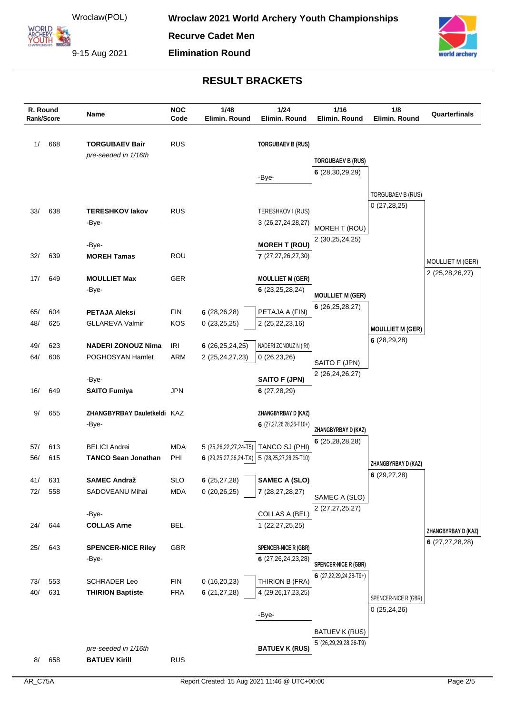**ARCHERY<br>YOUTH 422** 

**Recurve Cadet Men**

9-15 Aug 2021

# **Elimination Round**



| R. Round<br>Rank/Score |            | Name                                          | <b>NOC</b><br>Code       | 1/48<br>Elimin. Round        | 1/24<br>Elimin. Round                   | 1/16<br>Elimin. Round               | 1/8<br>Elimin. Round    | Quarterfinals           |
|------------------------|------------|-----------------------------------------------|--------------------------|------------------------------|-----------------------------------------|-------------------------------------|-------------------------|-------------------------|
| 1/                     | 668        | <b>TORGUBAEV Bair</b><br>pre-seeded in 1/16th | <b>RUS</b>               |                              | <b>TORGUBAEV B (RUS)</b>                | <b>TORGUBAEV B (RUS)</b>            |                         |                         |
|                        |            |                                               |                          |                              | -Bye-                                   | 6(28, 30, 29, 29)                   |                         |                         |
|                        |            |                                               |                          |                              |                                         |                                     | TORGUBAEV B (RUS)       |                         |
| 33/                    | 638        | <b>TERESHKOV lakov</b>                        | <b>RUS</b>               |                              | TERESHKOV I (RUS)                       |                                     | 0(27, 28, 25)           |                         |
|                        |            | -Bye-                                         |                          |                              | 3 (26,27,24,28,27)                      | MOREH T (ROU)<br>2 (30,25,24,25)    |                         |                         |
|                        |            | -Bye-                                         |                          |                              | <b>MOREH T (ROU)</b>                    |                                     |                         |                         |
| 32/                    | 639        | <b>MOREH Tamas</b>                            | ROU                      |                              | 7 (27,27,26,27,30)                      |                                     |                         | <b>MOULLIET M (GER)</b> |
| 17/                    | 649        | <b>MOULLIET Max</b>                           | GER                      |                              | <b>MOULLIET M (GER)</b>                 |                                     |                         | 2 (25,28,26,27)         |
|                        |            | -Bye-                                         |                          |                              | 6(23,25,28,24)                          | <b>MOULLIET M (GER)</b>             |                         |                         |
|                        |            | <b>PETAJA Aleksi</b>                          | <b>FIN</b>               |                              |                                         | 6(26, 25, 28, 27)                   |                         |                         |
| 65/<br>48/             | 604<br>625 | <b>GLLAREVA Valmir</b>                        | <b>KOS</b>               | 6(28, 26, 28)<br>0(23,25,25) | PETAJA A (FIN)<br>2 (25, 22, 23, 16)    |                                     |                         |                         |
|                        |            |                                               |                          |                              |                                         |                                     | <b>MOULLIET M (GER)</b> |                         |
| 49/                    | 623        | <b>NADERI ZONOUZ Nima</b>                     | <b>IRI</b>               | 6(26, 25, 24, 25)            | NADERI ZONOUZ N (IRI)                   |                                     | 6(28, 29, 28)           |                         |
| 64/                    | 606        | POGHOSYAN Hamlet                              | <b>ARM</b>               | 2 (25,24,27,23)              | 0(26, 23, 26)                           | SAITO F (JPN)                       |                         |                         |
|                        |            | -Bye-                                         |                          |                              | <b>SAITO F (JPN)</b>                    | 2 (26, 24, 26, 27)                  |                         |                         |
| 16/                    | 649        | <b>SAITO Fumiya</b>                           | JPN                      |                              | 6(27,28,29)                             |                                     |                         |                         |
| 9/                     | 655        | ZHANGBYRBAY Dauletkeldi KAZ                   |                          |                              | ZHANGBYRBAY D (KAZ)                     |                                     |                         |                         |
|                        |            | -Bye-                                         |                          |                              | 6 $(27, 27, 26, 28, 26 - T10+)$         | ZHANGBYRBAY D (KAZ)                 |                         |                         |
| 57/                    | 613        | <b>BELICI Andrei</b>                          | <b>MDA</b>               | 5 (25,26,22,27,24-T5)        | TANCO SJ (PHI)                          | 6(25, 28, 28, 28)                   |                         |                         |
| 56/                    | 615        | <b>TANCO Sean Jonathan</b>                    | PHI                      | 6 $(29, 25, 27, 26, 24-TX)$  | 5 (28,25,27,28,25-T10)                  |                                     | ZHANGBYRBAY D (KAZ)     |                         |
|                        |            |                                               |                          |                              |                                         |                                     | 6(29, 27, 28)           |                         |
| 41/<br>72/             | 631<br>558 | <b>SAMEC Andraž</b><br>SADOVEANU Mihai        | <b>SLO</b><br><b>MDA</b> | 6(25,27,28)<br>0(20, 26, 25) | <b>SAMEC A (SLO)</b><br>7 (28,27,28,27) |                                     |                         |                         |
|                        |            |                                               |                          |                              |                                         | SAMEC A (SLO)<br>2 (27, 27, 25, 27) |                         |                         |
|                        |            | -Bye-                                         |                          |                              | <b>COLLAS A (BEL)</b>                   |                                     |                         |                         |
| 24/                    | 644        | <b>COLLAS Arne</b>                            | <b>BEL</b>               |                              | 1(22, 27, 25, 25)                       |                                     |                         | ZHANGBYRBAY D (KAZ)     |
| 25/                    | 643        | <b>SPENCER-NICE Riley</b>                     | GBR                      |                              | SPENCER-NICE R (GBR)                    |                                     |                         | 6(27, 27, 28, 28)       |
|                        |            | -Bye-                                         |                          |                              | 6 (27,26,24,23,28)                      | <b>SPENCER-NICE R (GBR)</b>         |                         |                         |
| 73/                    | 553        | <b>SCHRADER Leo</b>                           | <b>FIN</b>               | 0(16,20,23)                  | THIRION B (FRA)                         | 6 $(27, 22, 29, 24, 28 - T9+)$      |                         |                         |
| 40/                    | 631        | <b>THIRION Baptiste</b>                       | <b>FRA</b>               | 6(21, 27, 28)                | 4 (29, 26, 17, 23, 25)                  |                                     | SPENCER-NICE R (GBR)    |                         |
|                        |            |                                               |                          |                              |                                         |                                     | 0(25, 24, 26)           |                         |
|                        |            |                                               |                          |                              | -Bye-                                   |                                     |                         |                         |
|                        |            |                                               |                          |                              |                                         | <b>BATUEV K (RUS)</b>               |                         |                         |
|                        |            | pre-seeded in 1/16th                          |                          |                              | <b>BATUEV K (RUS)</b>                   | 5 (26,29,29,28,26-T9)               |                         |                         |
| 8/                     | 658        | <b>BATUEV Kirill</b>                          | <b>RUS</b>               |                              |                                         |                                     |                         |                         |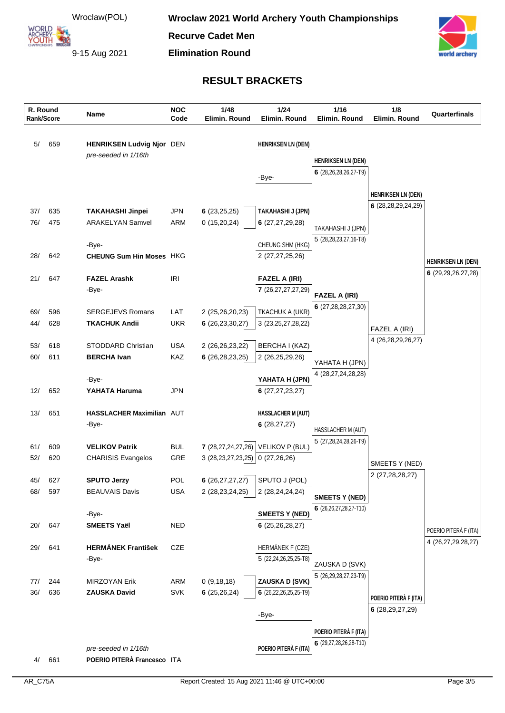**ARCHERY<br>YOUTH 422** 

**Recurve Cadet Men**

**Elimination Round**

9-15 Aug 2021



| R. Round<br>Rank/Score |            | <b>Name</b>                                         | <b>NOC</b><br>Code | 1/48<br>Elimin. Round                   | 1/24<br>Elimin. Round            | $1/16$<br>Elimin. Round                     | 1/8<br>Elimin. Round      | Quarterfinals             |
|------------------------|------------|-----------------------------------------------------|--------------------|-----------------------------------------|----------------------------------|---------------------------------------------|---------------------------|---------------------------|
| 5/                     | 659        | HENRIKSEN Ludvig Njor DEN                           |                    |                                         | <b>HENRIKSEN LN (DEN)</b>        |                                             |                           |                           |
|                        |            | pre-seeded in 1/16th                                |                    |                                         |                                  | <b>HENRIKSEN LN (DEN)</b>                   |                           |                           |
|                        |            |                                                     |                    |                                         |                                  | 6 (28,26,28,26,27-T9)                       |                           |                           |
|                        |            |                                                     |                    |                                         | -Bye-                            |                                             |                           |                           |
|                        |            |                                                     |                    |                                         |                                  |                                             | <b>HENRIKSEN LN (DEN)</b> |                           |
| 37/                    | 635        | <b>TAKAHASHI Jinpei</b>                             | <b>JPN</b>         | 6(23,25,25)                             | TAKAHASHI J (JPN)                |                                             | 6 (28,28,29,24,29)        |                           |
| 76/                    | 475        | <b>ARAKELYAN Samvel</b>                             | ARM                | 0(15,20,24)                             | 6(27, 27, 29, 28)                | TAKAHASHI J (JPN)                           |                           |                           |
|                        |            |                                                     |                    |                                         |                                  | 5 (28,28,23,27,16-T8)                       |                           |                           |
|                        |            | -Bye-                                               |                    |                                         | CHEUNG SHM (HKG)                 |                                             |                           |                           |
| 28/                    | 642        | <b>CHEUNG Sum Hin Moses HKG</b>                     |                    |                                         | 2 (27,27,25,26)                  |                                             |                           | <b>HENRIKSEN LN (DEN)</b> |
| 21/                    | 647        | <b>FAZEL Arashk</b>                                 | IRI                |                                         | <b>FAZEL A (IRI)</b>             |                                             |                           | 6(29, 29, 26, 27, 28)     |
|                        |            | -Bye-                                               |                    |                                         | 7 (26,27,27,27,29)               |                                             |                           |                           |
|                        |            |                                                     |                    |                                         |                                  | <b>FAZEL A (IRI)</b>                        |                           |                           |
| 69/                    | 596        | <b>SERGEJEVS Romans</b>                             | LAT                | 2 (25,26,20,23)                         | TKACHUK A (UKR)                  | 6(27, 28, 28, 27, 30)                       |                           |                           |
| 44/                    | 628        | <b>TKACHUK Andii</b>                                | <b>UKR</b>         | 6(26, 23, 30, 27)                       | 3 (23, 25, 27, 28, 22)           |                                             | FAZEL A (IRI)             |                           |
|                        |            |                                                     |                    |                                         |                                  |                                             | 4 (26,28,29,26,27)        |                           |
| 53/                    | 618        | STODDARD Christian                                  | <b>USA</b>         | 2 (26,26,23,22)                         | BERCHA I (KAZ)                   |                                             |                           |                           |
| 60/                    | 611        | <b>BERCHA Ivan</b>                                  | KAZ                | 6(26, 28, 23, 25)                       | 2 (26,25,29,26)                  | YAHATA H (JPN)                              |                           |                           |
|                        |            | -Bye-                                               |                    |                                         | YAHATA H (JPN)                   | 4 (28,27,24,28,28)                          |                           |                           |
| 12/                    | 652        | YAHATA Haruma                                       | JPN                |                                         | 6(27, 27, 23, 27)                |                                             |                           |                           |
| 13/                    | 651        | HASSLACHER Maximilian AUT                           |                    |                                         | <b>HASSLACHER M (AUT)</b>        |                                             |                           |                           |
|                        |            | -Bye-                                               |                    |                                         | 6(28, 27, 27)                    |                                             |                           |                           |
|                        |            |                                                     |                    |                                         |                                  | HASSLACHER M (AUT)<br>5 (27,28,24,28,26-T9) |                           |                           |
| 61/                    | 609        | <b>VELIKOV Patrik</b>                               | <b>BUL</b>         | 7(28,27,24,27,26)                       | VELIKOV P (BUL)                  |                                             |                           |                           |
| 52/                    | 620        | <b>CHARISIS Evangelos</b>                           | GRE                | 3(28, 23, 27, 23, 25)                   | 0(27,26,26)                      |                                             | SMEETS Y (NED)            |                           |
|                        |            |                                                     |                    |                                         |                                  |                                             | 2 (27,28,28,27)           |                           |
| 45/<br>68/             | 627<br>597 | <b>SPUTO Jerzy</b><br><b>BEAUVAIS Davis</b>         | POL<br><b>USA</b>  | 6(26, 27, 27, 27)<br>2 (28, 23, 24, 25) | SPUTO J (POL)<br>2 (28,24,24,24) |                                             |                           |                           |
|                        |            |                                                     |                    |                                         |                                  | <b>SMEETS Y (NED)</b>                       |                           |                           |
|                        |            | -Bye-                                               |                    |                                         | <b>SMEETS Y (NED)</b>            | 6 (26,26,27,28,27-T10)                      |                           |                           |
| 20/                    | 647        | <b>SMEETS Yaël</b>                                  | <b>NED</b>         |                                         | 6(25, 26, 28, 27)                |                                             |                           | POERIO PITERÀ F (ITA)     |
|                        |            |                                                     |                    |                                         |                                  |                                             |                           | 4 (26,27,29,28,27)        |
| 29/                    | 641        | <b>HERMÁNEK František</b>                           | CZE                |                                         | HERMÁNEK F (CZE)                 |                                             |                           |                           |
|                        |            | -Bye-                                               |                    |                                         | 5 (22,24,26,25,25-T8)            | ZAUSKA D (SVK)                              |                           |                           |
| 77/                    | 244        | <b>MIRZOYAN Erik</b>                                | ARM                | 0(9, 18, 18)                            | ZAUSKA D (SVK)                   | 5 (26,29,28,27,23-T9)                       |                           |                           |
| 36/                    | 636        | <b>ZAUSKA David</b>                                 | <b>SVK</b>         | 6(25,26,24)                             | 6 (26,22,26,25,25-T9)            |                                             |                           |                           |
|                        |            |                                                     |                    |                                         |                                  |                                             | POERIO PITERÀ F (ITA)     |                           |
|                        |            |                                                     |                    |                                         | -Bye-                            |                                             | 6(28, 29, 27, 29)         |                           |
|                        |            |                                                     |                    |                                         |                                  | POERIO PITERÀ F (ITA)                       |                           |                           |
|                        |            |                                                     |                    |                                         |                                  | 6 (29,27,28,26,28-T10)                      |                           |                           |
| 4/                     | 661        | pre-seeded in 1/16th<br>POERIO PITERÀ Francesco ITA |                    |                                         | POERIO PITERÀ F (ITA)            |                                             |                           |                           |
|                        |            |                                                     |                    |                                         |                                  |                                             |                           |                           |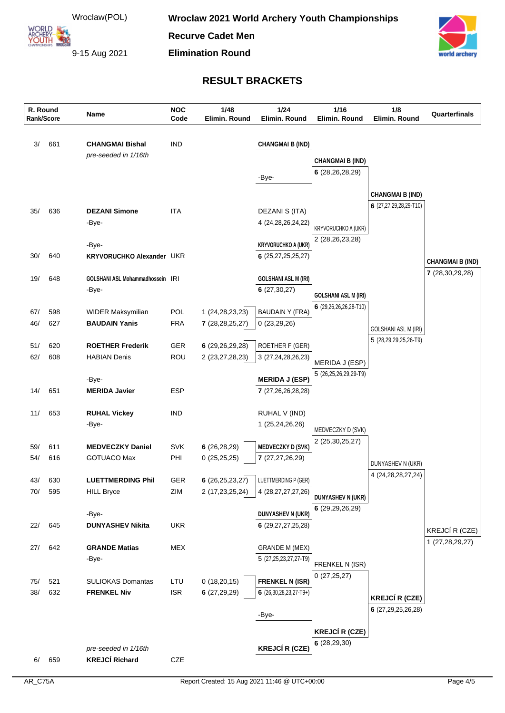**ARCHERY<br>YOUTH 422** 

**Recurve Cadet Men Elimination Round**

9-15 Aug 2021



| R. Round | Rank/Score | Name                             | <b>NOC</b><br>Code | 1/48<br>Elimin. Round | $1/24$<br>Elimin. Round        | $1/16$<br>Elimin. Round              | 1/8<br>Elimin. Round        | Quarterfinals           |
|----------|------------|----------------------------------|--------------------|-----------------------|--------------------------------|--------------------------------------|-----------------------------|-------------------------|
| 3/       | 661        | <b>CHANGMAI Bishal</b>           | IND                |                       | <b>CHANGMAI B (IND)</b>        |                                      |                             |                         |
|          |            | pre-seeded in 1/16th             |                    |                       |                                | <b>CHANGMAI B (IND)</b>              |                             |                         |
|          |            |                                  |                    |                       |                                | 6(28, 26, 28, 29)                    |                             |                         |
|          |            |                                  |                    |                       | -Bye-                          |                                      |                             |                         |
|          |            |                                  |                    |                       |                                |                                      | <b>CHANGMAI B (IND)</b>     |                         |
| 35/      | 636        | <b>DEZANI Simone</b>             | <b>ITA</b>         |                       | DEZANI S (ITA)                 |                                      | 6 (27,27,29,28,29-T10)      |                         |
|          |            | -Bye-                            |                    |                       | 4 (24, 28, 26, 24, 22)         | <b>KRYVORUCHKO A (UKR)</b>           |                             |                         |
|          |            |                                  |                    |                       |                                | 2 (28, 26, 23, 28)                   |                             |                         |
|          |            | -Bye-                            |                    |                       | <b>KRYVORUCHKO A (UKR)</b>     |                                      |                             |                         |
| 30/      | 640        | <b>KRYVORUCHKO Alexander UKR</b> |                    |                       | 6(25,27,25,25,27)              |                                      |                             | <b>CHANGMAI B (IND)</b> |
| 19/      | 648        | GOLSHANI ASL Mohammadhossein IRI |                    |                       | <b>GOLSHANI ASL M (IRI)</b>    |                                      |                             | 7 (28,30,29,28)         |
|          |            | -Bye-                            |                    |                       | 6(27, 30, 27)                  |                                      |                             |                         |
|          |            |                                  |                    |                       |                                | <b>GOLSHANI ASL M (IRI)</b>          |                             |                         |
| 67/      | 598        | WIDER Maksymilian                | POL                | 1 (24, 28, 23, 23)    | <b>BAUDAIN Y (FRA)</b>         | 6 (29,26,26,26,28-T10)               |                             |                         |
| 46/      | 627        | <b>BAUDAIN Yanis</b>             | <b>FRA</b>         | 7(28, 28, 25, 27)     | 0(23,29,26)                    |                                      | <b>GOLSHANI ASL M (IRI)</b> |                         |
|          |            |                                  |                    |                       |                                |                                      | 5 (28,29,29,25,26-T9)       |                         |
| 51/      | 620        | <b>ROETHER Frederik</b>          | <b>GER</b>         | 6(29,26,29,28)        | ROETHER F (GER)                |                                      |                             |                         |
| 62/      | 608        | <b>HABIAN Denis</b>              | ROU                | 2 (23,27,28,23)       | 3 (27, 24, 28, 26, 23)         | MERIDA J (ESP)                       |                             |                         |
|          |            | -Bye-                            |                    |                       | <b>MERIDA J (ESP)</b>          | 5 (26,25,26,29,29-T9)                |                             |                         |
| 14/      | 651        | <b>MERIDA Javier</b>             | ESP                |                       | 7(27,26,26,28,28)              |                                      |                             |                         |
| 11/      | 653        | <b>RUHAL Vickey</b>              | IND                |                       | RUHAL V (IND)                  |                                      |                             |                         |
|          |            | -Bye-                            |                    |                       | 1 (25,24,26,26)                |                                      |                             |                         |
|          |            |                                  |                    |                       |                                | MEDVECZKY D (SVK)<br>2 (25,30,25,27) |                             |                         |
| 59/      | 611        | <b>MEDVECZKY Daniel</b>          | <b>SVK</b>         | 6(26, 28, 29)         | <b>MEDVECZKY D (SVK)</b>       |                                      |                             |                         |
| 54/      | 616        | <b>GOTUACO Max</b>               | PHI                | 0(25,25,25)           | 7 (27,27,26,29)                |                                      | DUNYASHEV N (UKR)           |                         |
| 43/      | 630        | <b>LUETTMERDING Phil</b>         | GER                | 6(26,25,23,27)        | LUETTMERDING P (GER)           |                                      | 4 (24, 28, 28, 27, 24)      |                         |
| 70/      | 595        | <b>HILL Bryce</b>                | ZIM                | 2 (17,23,25,24)       | 4 (28,27,27,27,26)             |                                      |                             |                         |
|          |            |                                  |                    |                       |                                | <b>DUNYASHEV N (UKR)</b>             |                             |                         |
|          |            | -Bye-                            |                    |                       | DUNYASHEV N (UKR)              | 6 (29,29,26,29)                      |                             |                         |
| 22/      | 645        | <b>DUNYASHEV Nikita</b>          | <b>UKR</b>         |                       | 6(29, 27, 27, 25, 28)          |                                      |                             | KREJCÍ R (CZE)          |
|          |            |                                  |                    |                       |                                |                                      |                             | 1 (27,28,29,27)         |
| 27/      | 642        | <b>GRANDE Matias</b>             | MEX                |                       | <b>GRANDE M (MEX)</b>          |                                      |                             |                         |
|          |            | -Bye-                            |                    |                       | 5 (27,25,23,27,27-T9)          | FRENKEL N (ISR)                      |                             |                         |
| 75/      | 521        | <b>SULIOKAS Domantas</b>         | LTU                | 0(18,20,15)           | <b>FRENKEL N (ISR)</b>         | 0(27,25,27)                          |                             |                         |
| 38/      | 632        | <b>FRENKEL Niv</b>               | <b>ISR</b>         | 6(27,29,29)           | 6 $(26, 30, 28, 23, 27 - T9+)$ |                                      | <b>KREJCÍ R (CZE)</b>       |                         |
|          |            |                                  |                    |                       |                                |                                      | 6 (27,29,25,26,28)          |                         |
|          |            |                                  |                    |                       | -Bye-                          |                                      |                             |                         |
|          |            |                                  |                    |                       |                                | <b>KREJCÍ R (CZE)</b>                |                             |                         |
|          |            | pre-seeded in 1/16th             |                    |                       | <b>KREJCÍ R (CZE)</b>          | 6(28, 29, 30)                        |                             |                         |
| 6/       | 659        | <b>KREJCÍ Richard</b>            | CZE                |                       |                                |                                      |                             |                         |